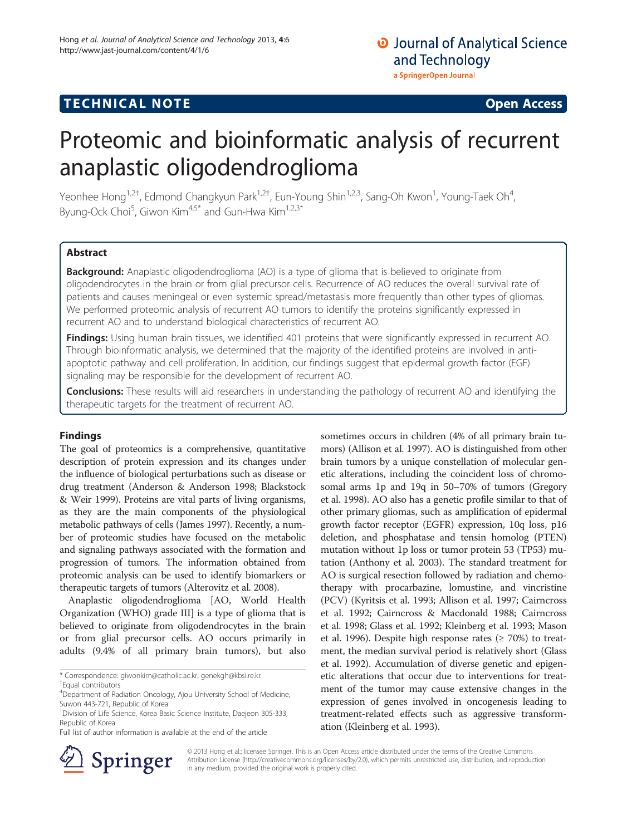## **TECHNICAL NOTE TECHNICAL NOTE**

# Proteomic and bioinformatic analysis of recurrent anaplastic oligodendroglioma

Yeonhee Hong<sup>1,2†</sup>, Edmond Changkyun Park<sup>1,2†</sup>, Eun-Young Shin<sup>1,2,3</sup>, Sang-Oh Kwon<sup>1</sup>, Young-Taek Oh<sup>4</sup> , Byung-Ock Choi<sup>5</sup>, Giwon Kim<sup>4,5\*</sup> and Gun-Hwa Kim<sup>1,2,3\*</sup>

## Abstract

**Background:** Anaplastic oligodendroglioma (AO) is a type of glioma that is believed to originate from oligodendrocytes in the brain or from glial precursor cells. Recurrence of AO reduces the overall survival rate of patients and causes meningeal or even systemic spread/metastasis more frequently than other types of gliomas. We performed proteomic analysis of recurrent AO tumors to identify the proteins significantly expressed in recurrent AO and to understand biological characteristics of recurrent AO.

Findings: Using human brain tissues, we identified 401 proteins that were significantly expressed in recurrent AO. Through bioinformatic analysis, we determined that the majority of the identified proteins are involved in antiapoptotic pathway and cell proliferation. In addition, our findings suggest that epidermal growth factor (EGF) signaling may be responsible for the development of recurrent AO.

Conclusions: These results will aid researchers in understanding the pathology of recurrent AO and identifying the therapeutic targets for the treatment of recurrent AO.

## Findings

The goal of proteomics is a comprehensive, quantitative description of protein expression and its changes under the influence of biological perturbations such as disease or drug treatment (Anderson & Anderson [1998;](#page-5-0) Blackstock & Weir [1999](#page-5-0)). Proteins are vital parts of living organisms, as they are the main components of the physiological metabolic pathways of cells (James [1997](#page-5-0)). Recently, a number of proteomic studies have focused on the metabolic and signaling pathways associated with the formation and progression of tumors. The information obtained from proteomic analysis can be used to identify biomarkers or therapeutic targets of tumors (Alterovitz et al. [2008](#page-5-0)).

Anaplastic oligodendroglioma [AO, World Health Organization (WHO) grade III] is a type of glioma that is believed to originate from oligodendrocytes in the brain or from glial precursor cells. AO occurs primarily in adults (9.4% of all primary brain tumors), but also

\* Correspondence: [giwonkim@catholic.ac.kr](mailto:giwonkim@catholic.ac.kr); [genekgh@kbsi.re.kr](mailto:genekgh@kbsi.re.kr) † Equal contributors

Full list of author information is available at the end of the article

sometimes occurs in children (4% of all primary brain tumors) (Allison et al. [1997\)](#page-5-0). AO is distinguished from other brain tumors by a unique constellation of molecular genetic alterations, including the coincident loss of chromosomal arms 1p and 19q in 50–70% of tumors (Gregory et al. [1998\)](#page-5-0). AO also has a genetic profile similar to that of other primary gliomas, such as amplification of epidermal growth factor receptor (EGFR) expression, 10q loss, p16 deletion, and phosphatase and tensin homolog (PTEN) mutation without 1p loss or tumor protein 53 (TP53) mutation (Anthony et al. [2003](#page-5-0)). The standard treatment for AO is surgical resection followed by radiation and chemotherapy with procarbazine, lomustine, and vincristine (PCV) (Kyritsis et al. [1993;](#page-5-0) Allison et al. [1997;](#page-5-0) Cairncross et al. [1992;](#page-5-0) Cairncross & Macdonald [1988](#page-5-0); Cairncross et al. [1998](#page-5-0); Glass et al. [1992;](#page-5-0) Kleinberg et al. [1993;](#page-5-0) Mason et al. [1996](#page-5-0)). Despite high response rates ( $\geq 70\%$ ) to treatment, the median survival period is relatively short (Glass et al. [1992](#page-5-0)). Accumulation of diverse genetic and epigenetic alterations that occur due to interventions for treatment of the tumor may cause extensive changes in the expression of genes involved in oncogenesis leading to treatment-related effects such as aggressive transformation (Kleinberg et al. [1993\)](#page-5-0).



© 2013 Hong et al.; licensee Springer. This is an Open Access article distributed under the terms of the Creative Commons Attribution License [\(http://creativecommons.org/licenses/by/2.0\)](http://creativecommons.org/licenses/by/2.0), which permits unrestricted use, distribution, and reproduction in any medium, provided the original work is properly cited.

<sup>4</sup> Department of Radiation Oncology, Ajou University School of Medicine, Suwon 443-721, Republic of Korea

<sup>&</sup>lt;sup>1</sup> Division of Life Science, Korea Basic Science Institute, Daejeon 305-333, Republic of Korea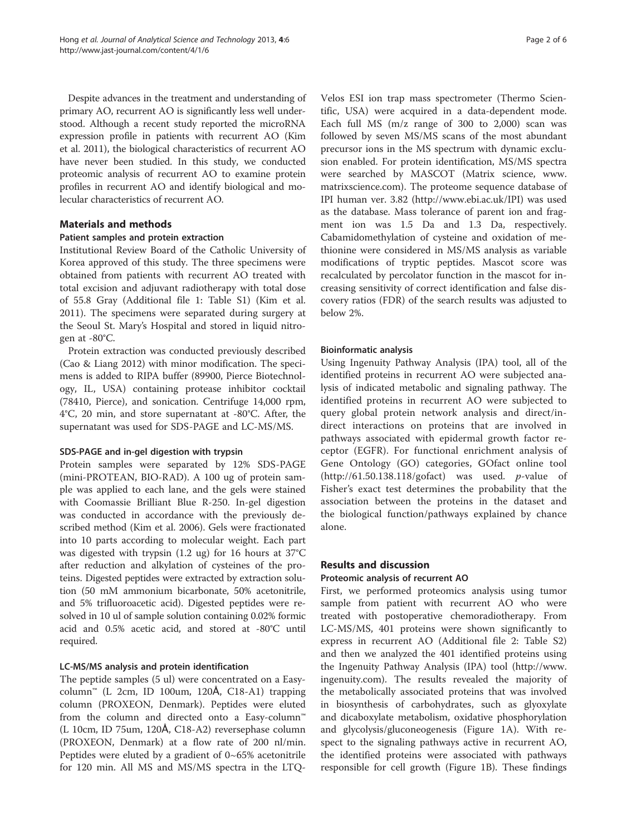Despite advances in the treatment and understanding of primary AO, recurrent AO is significantly less well understood. Although a recent study reported the microRNA expression profile in patients with recurrent AO (Kim et al. [2011\)](#page-5-0), the biological characteristics of recurrent AO have never been studied. In this study, we conducted proteomic analysis of recurrent AO to examine protein profiles in recurrent AO and identify biological and molecular characteristics of recurrent AO.

## Materials and methods

#### Patient samples and protein extraction

Institutional Review Board of the Catholic University of Korea approved of this study. The three specimens were obtained from patients with recurrent AO treated with total excision and adjuvant radiotherapy with total dose of 55.8 Gray (Additional file [1](#page-4-0): Table S1) (Kim et al. [2011](#page-5-0)). The specimens were separated during surgery at the Seoul St. Mary's Hospital and stored in liquid nitrogen at -80°C.

Protein extraction was conducted previously described (Cao & Liang [2012\)](#page-5-0) with minor modification. The specimens is added to RIPA buffer (89900, Pierce Biotechnology, IL, USA) containing protease inhibitor cocktail (78410, Pierce), and sonication. Centrifuge 14,000 rpm, 4°C, 20 min, and store [supernatant](http://terms.naver.com/entry.nhn?docId=606456) at -80°C. After, the supernatant was used for SDS-PAGE and LC-MS/MS.

#### SDS-PAGE and in-gel digestion with trypsin

Protein samples were separated by 12% SDS-PAGE (mini-PROTEAN, BIO-RAD). A 100 ug of protein sample was applied to each lane, and the gels were stained with Coomassie Brilliant Blue R-250. In-gel digestion was conducted in accordance with the previously described method (Kim et al. [2006\)](#page-5-0). Gels were fractionated into 10 parts according to molecular weight. Each part was digested with trypsin (1.2 ug) for 16 hours at 37°C after reduction and alkylation of cysteines of the proteins. Digested peptides were extracted by extraction solution (50 mM ammonium bicarbonate, 50% acetonitrile, and 5% trifluoroacetic acid). Digested peptides were resolved in 10 ul of sample solution containing 0.02% formic acid and 0.5% acetic acid, and stored at -80°C until required.

## LC-MS/MS analysis and protein identification

The peptide samples (5 ul) were concentrated on a Easycolumn<sup>™</sup> (L 2cm, ID 100um, 120A, C18-A1) trapping column (PROXEON, Denmark). Peptides were eluted from the column and directed onto a Easy-column™ (L 10cm, ID 75um, 120Å, C18-A2) reversephase column (PROXEON, Denmark) at a flow rate of 200 nl/min. Peptides were eluted by a gradient of  $0\nu$ -65% acetonitrile for 120 min. All MS and MS/MS spectra in the LTQ-

Velos ESI ion trap mass spectrometer (Thermo Scientific, USA) were acquired in a data-dependent mode. Each full MS (m/z range of 300 to 2,000) scan was followed by seven MS/MS scans of the most abundant precursor ions in the MS spectrum with dynamic exclusion enabled. For protein identification, MS/MS spectra were searched by MASCOT (Matrix science, [www.](http://www.matrixscience.com/) [matrixscience.com\)](http://www.matrixscience.com/). The proteome sequence database of IPI human ver. 3.82 (http://www.ebi.ac.uk/IPI) was used as the database. Mass tolerance of parent ion and fragment ion was 1.5 Da and 1.3 Da, respectively. Cabamidomethylation of cysteine and oxidation of methionine were considered in MS/MS analysis as variable modifications of tryptic peptides. Mascot score was recalculated by percolator function in the mascot for increasing sensitivity of correct identification and false discovery ratios (FDR) of the search results was adjusted to below 2%.

#### Bioinformatic analysis

Using Ingenuity Pathway Analysis (IPA) tool, all of the identified proteins in recurrent AO were subjected analysis of indicated metabolic and signaling pathway. The identified proteins in recurrent AO were subjected to query global protein network analysis and direct/indirect interactions on proteins that are involved in pathways associated with epidermal growth factor receptor (EGFR). For functional enrichment analysis of Gene Ontology (GO) categories, GOfact online tool  $(http://61.50.138.118/gofact)$  $(http://61.50.138.118/gofact)$  $(http://61.50.138.118/gofact)$  was used. *p*-value of Fisher's exact test determines the probability that the association between the proteins in the dataset and the biological function/pathways explained by chance alone.

## Results and discussion

#### Proteomic analysis of recurrent AO

First, we performed proteomics analysis using tumor sample from patient with recurrent AO who were treated with postoperative chemoradiotherapy. From LC-MS/MS, 401 proteins were shown significantly to express in recurrent AO (Additional file [2:](#page-4-0) Table S2) and then we analyzed the 401 identified proteins using the Ingenuity Pathway Analysis (IPA) tool ([http://www.](http://www.ingenuity.com/) [ingenuity.com](http://www.ingenuity.com/)). The results revealed the majority of the metabolically associated proteins that was involved in biosynthesis of carbohydrates, such as glyoxylate and dicaboxylate metabolism, oxidative phosphorylation and glycolysis/gluconeogenesis (Figure [1A](#page-2-0)). With respect to the signaling pathways active in recurrent AO, the identified proteins were associated with pathways responsible for cell growth (Figure [1B](#page-2-0)). These findings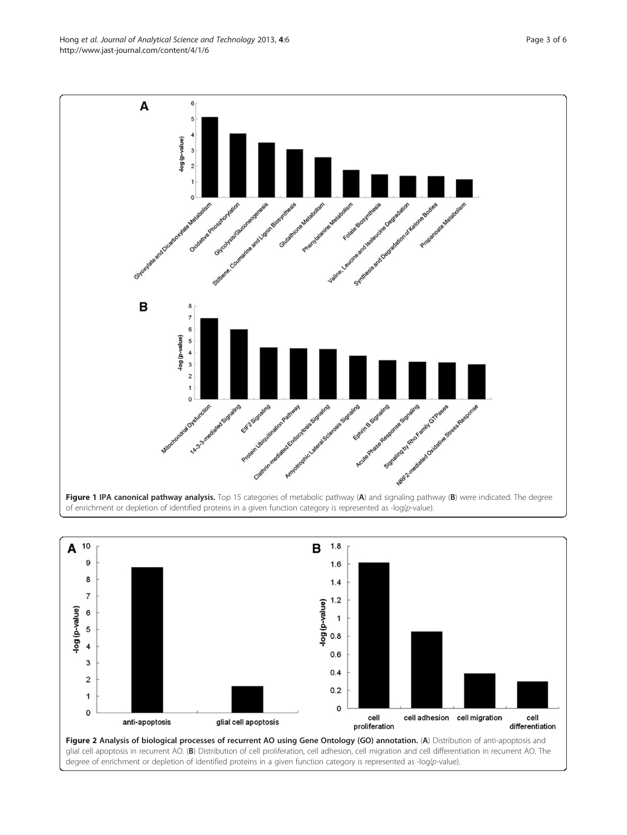of enrichment or depletion of identified proteins in a given function category is represented as -log(p-value).



<span id="page-2-0"></span>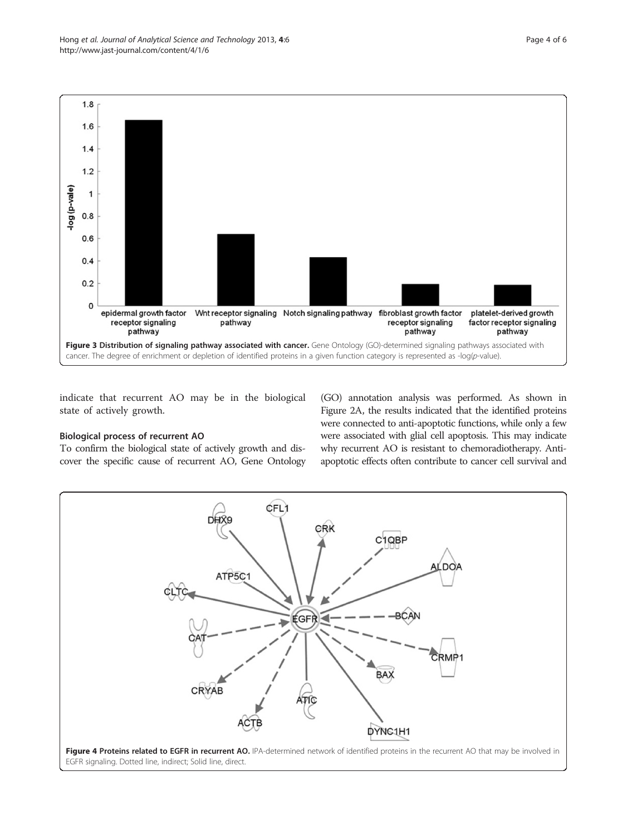<span id="page-3-0"></span>

indicate that recurrent AO may be in the biological state of actively growth.

## Biological process of recurrent AO

To confirm the biological state of actively growth and discover the specific cause of recurrent AO, Gene Ontology (GO) annotation analysis was performed. As shown in Figure [2](#page-2-0)A, the results indicated that the identified proteins were connected to anti-apoptotic functions, while only a few were associated with glial cell apoptosis. This may indicate why recurrent AO is resistant to chemoradiotherapy. Antiapoptotic effects often contribute to cancer cell survival and

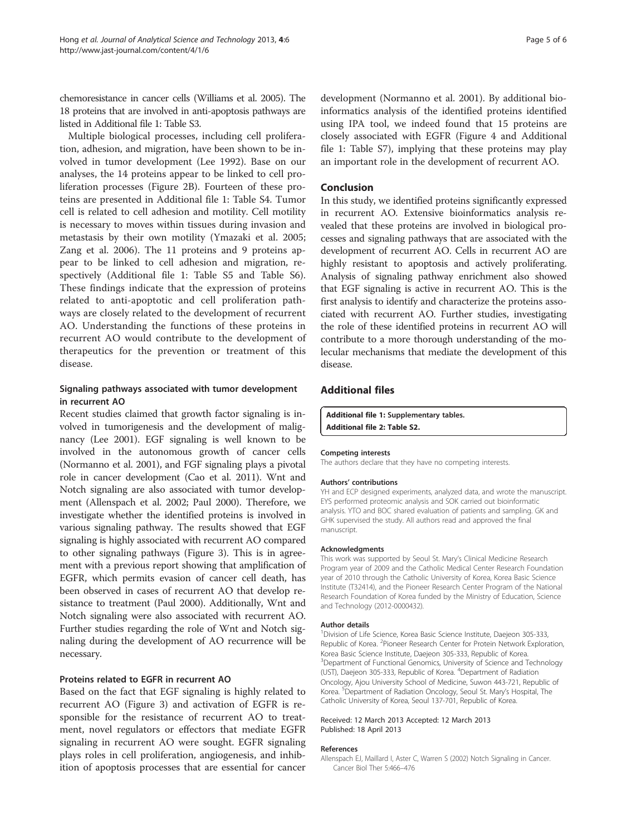<span id="page-4-0"></span>chemoresistance in cancer cells (Williams et al. [2005](#page-5-0)). The 18 proteins that are involved in anti-apoptosis pathways are listed in Additional file 1: Table S3.

Multiple biological processes, including cell proliferation, adhesion, and migration, have been shown to be involved in tumor development (Lee [1992\)](#page-5-0). Base on our analyses, the 14 proteins appear to be linked to cell proliferation processes (Figure [2B](#page-2-0)). Fourteen of these proteins are presented in Additional file 1: Table S4. Tumor cell is related to cell adhesion and motility. Cell motility is necessary to moves within tissues during invasion and metastasis by their own motility (Ymazaki et al. [2005](#page-5-0); Zang et al. [2006\)](#page-5-0). The 11 proteins and 9 proteins appear to be linked to cell adhesion and migration, respectively (Additional file 1: Table S5 and Table S6). These findings indicate that the expression of proteins related to anti-apoptotic and cell proliferation pathways are closely related to the development of recurrent AO. Understanding the functions of these proteins in recurrent AO would contribute to the development of therapeutics for the prevention or treatment of this disease.

## Signaling pathways associated with tumor development in recurrent AO

Recent studies claimed that growth factor signaling is involved in tumorigenesis and the development of malignancy (Lee [2001\)](#page-5-0). EGF signaling is well known to be involved in the autonomous growth of cancer cells (Normanno et al. [2001\)](#page-5-0), and FGF signaling plays a pivotal role in cancer development (Cao et al. [2011](#page-5-0)). Wnt and Notch signaling are also associated with tumor development (Allenspach et al. 2002; Paul [2000](#page-5-0)). Therefore, we investigate whether the identified proteins is involved in various signaling pathway. The results showed that EGF signaling is highly associated with recurrent AO compared to other signaling pathways (Figure [3](#page-3-0)). This is in agreement with a previous report showing that amplification of EGFR, which permits evasion of cancer cell death, has been observed in cases of recurrent AO that develop resistance to treatment (Paul [2000\)](#page-5-0). Additionally, Wnt and Notch signaling were also associated with recurrent AO. Further studies regarding the role of Wnt and Notch signaling during the development of AO recurrence will be necessary.

## Proteins related to EGFR in recurrent AO

Based on the fact that EGF signaling is highly related to recurrent AO (Figure [3\)](#page-3-0) and activation of EGFR is responsible for the resistance of recurrent AO to treatment, novel regulators or effectors that mediate EGFR signaling in recurrent AO were sought. EGFR signaling plays roles in cell proliferation, angiogenesis, and inhibition of apoptosis processes that are essential for cancer development (Normanno et al. [2001\)](#page-5-0). By additional bioinformatics analysis of the identified proteins identified using IPA tool, we indeed found that 15 proteins are closely associated with EGFR (Figure [4](#page-3-0) and Additional file 1: Table S7), implying that these proteins may play an important role in the development of recurrent AO.

#### Conclusion

In this study, we identified proteins significantly expressed in recurrent AO. Extensive bioinformatics analysis revealed that these proteins are involved in biological processes and signaling pathways that are associated with the development of recurrent AO. Cells in recurrent AO are highly resistant to apoptosis and actively proliferating. Analysis of signaling pathway enrichment also showed that EGF signaling is active in recurrent AO. This is the first analysis to identify and characterize the proteins associated with recurrent AO. Further studies, investigating the role of these identified proteins in recurrent AO will contribute to a more thorough understanding of the molecular mechanisms that mediate the development of this disease.

## Additional files

[Additional file 1:](http://www.biomedcentral.com/content/supplementary/2093-3371-4-6-S1.docx) Supplementary tables. [Additional file 2: Table S2.](http://www.biomedcentral.com/content/supplementary/2093-3371-4-6-S2.xlsx)

#### Competing interests

The authors declare that they have no competing interests.

#### Authors' contributions

YH and ECP designed experiments, analyzed data, and wrote the manuscript. EYS performed proteomic analysis and SOK carried out bioinformatic analysis. YTO and BOC shared evaluation of patients and sampling. GK and GHK supervised the study. All authors read and approved the final manuscript.

#### Acknowledgments

This work was supported by Seoul St. Mary's Clinical Medicine Research Program year of 2009 and the Catholic Medical Center Research Foundation year of 2010 through the Catholic University of Korea, Korea Basic Science Institute (T32414), and the Pioneer Research Center Program of the National Research Foundation of Korea funded by the Ministry of Education, Science and Technology (2012-0000432).

#### Author details

<sup>1</sup> Division of Life Science, Korea Basic Science Institute, Daejeon 305-333, Republic of Korea. <sup>2</sup> Pioneer Research Center for Protein Network Exploration, Korea Basic Science Institute, Daejeon 305-333, Republic of Korea. <sup>3</sup>Department of Functional Genomics, University of Science and Technology (UST), Daejeon 305-333, Republic of Korea. <sup>4</sup>Department of Radiation Oncology, Ajou University School of Medicine, Suwon 443-721, Republic of Korea. <sup>5</sup> Department of Radiation Oncology, Seoul St. Mary's Hospital, The Catholic University of Korea, Seoul 137-701, Republic of Korea.

#### Received: 12 March 2013 Accepted: 12 March 2013 Published: 18 April 2013

#### References

Allenspach EJ, Maillard I, Aster C, Warren S (2002) Notch Signaling in Cancer. Cancer Biol Ther 5:466–476